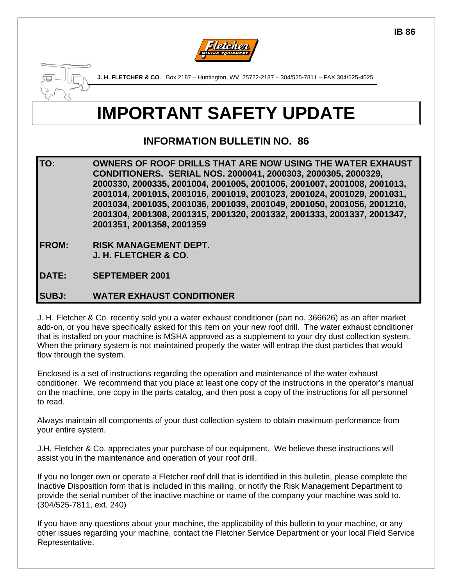



**J. H. FLETCHER & CO**. Box 2187 – Huntington, WV 25722-2187 – 304/525-7811 – FAX 304/525-4025

## **IMPORTANT SAFETY UPDATE**

## **INFORMATION BULLETIN NO. 86**

**TO: OWNERS OF ROOF DRILLS THAT ARE NOW USING THE WATER EXHAUST CONDITIONERS. SERIAL NOS. 2000041, 2000303, 2000305, 2000329, 2000330, 2000335, 2001004, 2001005, 2001006, 2001007, 2001008, 2001013, 2001014, 2001015, 2001016, 2001019, 2001023, 2001024, 2001029, 2001031, 2001034, 2001035, 2001036, 2001039, 2001049, 2001050, 2001056, 2001210, 2001304, 2001308, 2001315, 2001320, 2001332, 2001333, 2001337, 2001347, 2001351, 2001358, 2001359** 

- **FROM: RISK MANAGEMENT DEPT. J. H. FLETCHER & CO.**
- **DATE: SEPTEMBER 2001**

## **SUBJ: WATER EXHAUST CONDITIONER**

J. H. Fletcher & Co. recently sold you a water exhaust conditioner (part no. 366626) as an after market add-on, or you have specifically asked for this item on your new roof drill. The water exhaust conditioner that is installed on your machine is MSHA approved as a supplement to your dry dust collection system. When the primary system is not maintained properly the water will entrap the dust particles that would flow through the system.

Enclosed is a set of instructions regarding the operation and maintenance of the water exhaust conditioner. We recommend that you place at least one copy of the instructions in the operator's manual on the machine, one copy in the parts catalog, and then post a copy of the instructions for all personnel to read.

Always maintain all components of your dust collection system to obtain maximum performance from your entire system.

J.H. Fletcher & Co. appreciates your purchase of our equipment. We believe these instructions will assist you in the maintenance and operation of your roof drill.

If you no longer own or operate a Fletcher roof drill that is identified in this bulletin, please complete the Inactive Disposition form that is included in this mailing, or notify the Risk Management Department to provide the serial number of the inactive machine or name of the company your machine was sold to. (304/525-7811, ext. 240)

If you have any questions about your machine, the applicability of this bulletin to your machine, or any other issues regarding your machine, contact the Fletcher Service Department or your local Field Service Representative.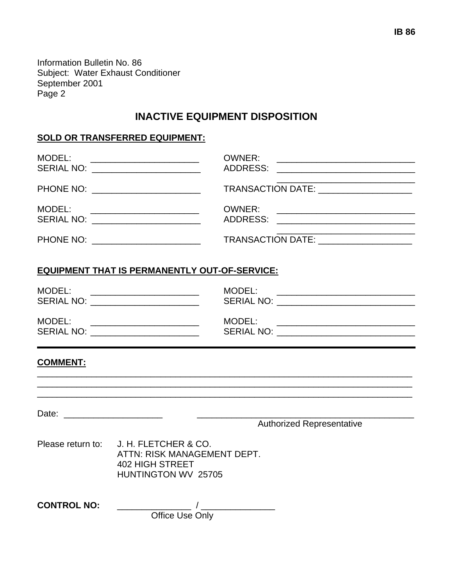Information Bulletin No. 86 Subject: Water Exhaust Conditioner September 2001 Page 2

## **INACTIVE EQUIPMENT DISPOSITION**

#### **SOLD OR TRANSFERRED EQUIPMENT:**

| MODEL:<br><b>SERIAL NO:</b>                                                                                                                                                                                                                                                            | OWNER:<br>ADDRESS:<br><u> 2000 - Januar Alemania, martxa alemaniar alemaniar a</u> |
|----------------------------------------------------------------------------------------------------------------------------------------------------------------------------------------------------------------------------------------------------------------------------------------|------------------------------------------------------------------------------------|
| PHONE NO: _________________________                                                                                                                                                                                                                                                    | TRANSACTION DATE: __________________                                               |
| MODEL:<br><u> 1989 - Johann Harry Harry Harry Harry Harry Harry Harry Harry Harry Harry Harry Harry Harry Harry Harry Harry Harry Harry Harry Harry Harry Harry Harry Harry Harry Harry Harry Harry Harry Harry Harry Harry Harry Harry Ha</u><br>SERIAL NO: _________________________ | OWNER:<br>ADDRESS:                                                                 |
| PHONE NO: _______________________                                                                                                                                                                                                                                                      | TRANSACTION DATE: ___________________                                              |

#### **EQUIPMENT THAT IS PERMANENTLY OUT-OF-SERVICE:**

| MODEL:<br><u> 1980 - Andrea Andrew Maria (h. 1980).</u><br><b>SERIAL NO:</b><br><u> 1980 - Jan Barbara Barbara, manazarta da kasas da shekara 1980 - André a Santa Barbara a Santa Barbara a San</u> | MODEL:<br>SERIAL NO: __________________________ |
|------------------------------------------------------------------------------------------------------------------------------------------------------------------------------------------------------|-------------------------------------------------|
| MODEL:                                                                                                                                                                                               | MODEL:                                          |
| <b>SERIAL NO:</b>                                                                                                                                                                                    | <b>SERIAL NO:</b>                               |
|                                                                                                                                                                                                      |                                                 |

\_\_\_\_\_\_\_\_\_\_\_\_\_\_\_\_\_\_\_\_\_\_\_\_\_\_\_\_\_\_\_\_\_\_\_\_\_\_\_\_\_\_\_\_\_\_\_\_\_\_\_\_\_\_\_\_\_\_\_\_\_\_\_\_\_\_\_\_\_\_\_\_\_\_\_\_ \_\_\_\_\_\_\_\_\_\_\_\_\_\_\_\_\_\_\_\_\_\_\_\_\_\_\_\_\_\_\_\_\_\_\_\_\_\_\_\_\_\_\_\_\_\_\_\_\_\_\_\_\_\_\_\_\_\_\_\_\_\_\_\_\_\_\_\_\_\_\_\_\_\_\_\_ \_\_\_\_\_\_\_\_\_\_\_\_\_\_\_\_\_\_\_\_\_\_\_\_\_\_\_\_\_\_\_\_\_\_\_\_\_\_\_\_\_\_\_\_\_\_\_\_\_\_\_\_\_\_\_\_\_\_\_\_\_\_\_\_\_\_\_\_\_\_\_\_\_\_\_\_

### **COMMENT:**

Date: \_\_\_\_\_\_\_\_\_\_\_\_\_\_\_\_\_\_\_\_ \_\_\_\_\_\_\_\_\_\_\_\_\_\_\_\_\_\_\_\_\_\_\_\_\_\_\_\_\_\_\_\_\_\_\_\_\_\_\_\_\_\_\_\_

Authorized Representative

Please return to: J. H. FLETCHER & CO. ATTN: RISK MANAGEMENT DEPT. 402 HIGH STREET HUNTINGTON WV 25705

**CONTROL NO:** \_\_\_\_\_\_\_\_\_\_\_\_\_\_\_ / \_\_\_\_\_\_\_\_\_\_\_\_\_\_\_ **Canadian Construction Construction Construction Construction Construction Construction Construction Construction**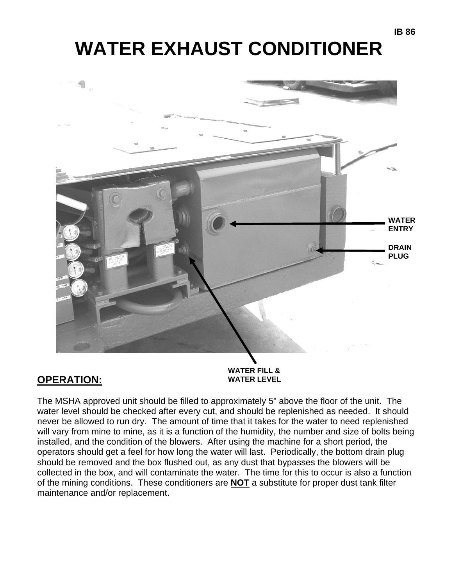# **WATER EXHAUST CONDITIONER**



## **OPERATION: WATER LEVEL**

The MSHA approved unit should be filled to approximately 5" above the floor of the unit. The water level should be checked after every cut, and should be replenished as needed. It should never be allowed to run dry. The amount of time that it takes for the water to need replenished will vary from mine to mine, as it is a function of the humidity, the number and size of bolts being installed, and the condition of the blowers. After using the machine for a short period, the operators should get a feel for how long the water will last. Periodically, the bottom drain plug should be removed and the box flushed out, as any dust that bypasses the blowers will be collected in the box, and will contaminate the water. The time for this to occur is also a function of the mining conditions. These conditioners are **NOT** a substitute for proper dust tank filter maintenance and/or replacement.